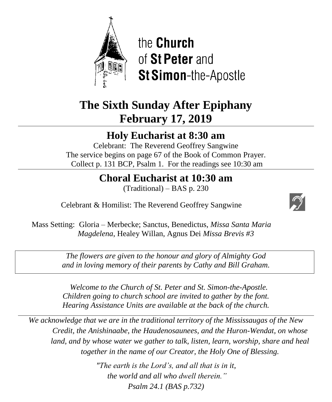

the **Church** of St Peter and **St Simon-the-Apostle** 

# **The Sixth Sunday After Epiphany February 17, 2019**

## **Holy Eucharist at 8:30 am**

Celebrant: The Reverend Geoffrey Sangwine The service begins on page 67 of the Book of Common Prayer. Collect p. 131 BCP, Psalm 1. For the readings see 10:30 am

## **Choral Eucharist at 10:30 am**

(Traditional) – BAS p. 230

Celebrant & Homilist: The Reverend Geoffrey Sangwine



Mass Setting: Gloria – Merbecke; Sanctus, Benedictus, *Missa Santa Maria Magdelena*, Healey Willan, Agnus Dei *Missa Brevis #3*

> *The flowers are given to the honour and glory of Almighty God and in loving memory of their parents by Cathy and Bill Graham.*

> *Welcome to the Church of St. Peter and St. Simon-the-Apostle. Children going to church school are invited to gather by the font. Hearing Assistance Units are available at the back of the church.*

*We acknowledge that we are in the traditional territory of the Mississaugas of the New Credit, the Anishinaabe, the Haudenosaunees, and the Huron-Wendat, on whose*  land, and by whose water we gather to talk, listen, learn, worship, share and heal *together in the name of our Creator, the Holy One of Blessing.*

> *"The earth is the Lord's, and all that is in it, the world and all who dwell therein." Psalm 24.1 (BAS p.732)*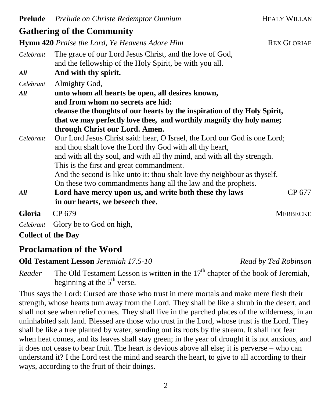| Celebrant                 | The grace of our Lord Jesus Christ, and the love of God,<br>and the fellowship of the Holy Spirit, be with you all.                                                                                                                                                                                                                                                                                                                                                                            |  |  |
|---------------------------|------------------------------------------------------------------------------------------------------------------------------------------------------------------------------------------------------------------------------------------------------------------------------------------------------------------------------------------------------------------------------------------------------------------------------------------------------------------------------------------------|--|--|
| All                       | And with thy spirit.                                                                                                                                                                                                                                                                                                                                                                                                                                                                           |  |  |
| Celebrant<br>All          | Almighty God,<br>unto whom all hearts be open, all desires known,                                                                                                                                                                                                                                                                                                                                                                                                                              |  |  |
|                           | and from whom no secrets are hid:<br>cleanse the thoughts of our hearts by the inspiration of thy Holy Spirit,<br>that we may perfectly love thee, and worthily magnify thy holy name;<br>through Christ our Lord. Amen.                                                                                                                                                                                                                                                                       |  |  |
| Celebrant                 | Our Lord Jesus Christ said: hear, O Israel, the Lord our God is one Lord;<br>and thou shalt love the Lord thy God with all thy heart,<br>and with all thy soul, and with all thy mind, and with all thy strength.<br>This is the first and great commandment.                                                                                                                                                                                                                                  |  |  |
| All                       | And the second is like unto it: thou shalt love thy neighbour as thyself.<br>On these two commandments hang all the law and the prophets.<br>Lord have mercy upon us, and write both these thy laws<br>CP 677<br>in our hearts, we beseech thee.                                                                                                                                                                                                                                               |  |  |
| Gloria                    | CP 679<br><b>MERBECKE</b>                                                                                                                                                                                                                                                                                                                                                                                                                                                                      |  |  |
| Celebrant                 | Glory be to God on high,                                                                                                                                                                                                                                                                                                                                                                                                                                                                       |  |  |
| <b>Collect of the Day</b> |                                                                                                                                                                                                                                                                                                                                                                                                                                                                                                |  |  |
|                           | <b>Proclamation of the Word</b>                                                                                                                                                                                                                                                                                                                                                                                                                                                                |  |  |
|                           | <b>Old Testament Lesson</b> Jeremiah 17.5-10<br>Read by Ted Robinson                                                                                                                                                                                                                                                                                                                                                                                                                           |  |  |
| Reader                    | The Old Testament Lesson is written in the $17th$ chapter of the book of Jeremiah,<br>beginning at the $5th$ verse.                                                                                                                                                                                                                                                                                                                                                                            |  |  |
|                           | Thus says the Lord: Cursed are those who trust in mere mortals and make mere flesh their<br>strength, whose hearts turn away from the Lord. They shall be like a shrub in the desert, and<br>shall not see when relief comes. They shall live in the parched places of the wilderness, in an<br>uninhabited salt land. Blessed are those who trust in the Lord, whose trust is the Lord. They<br>shall be like a tree planted by water, sending out its roots by the stream. It shall not fear |  |  |

**Hymn 420** *Praise the Lord, Ye Heavens Adore Him* **REX GLORIAE** 

when heat comes, and its leaves shall stay green; in the year of drought it is not anxious, and it does not cease to bear fruit. The heart is devious above all else; it is perverse – who can understand it? I the Lord test the mind and search the heart, to give to all according to their ways, according to the fruit of their doings.

**Gathering of the Community**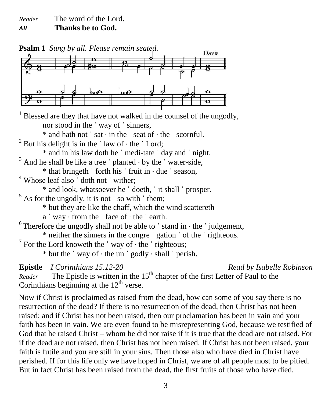*Reader* The word of the Lord. *All* **Thanks be to God.**



 $<sup>1</sup>$  Blessed are they that have not walked in the counsel of the ungodly,</sup> nor stood in the ˈ way of ˈ sinners, \* and hath not ˈ sat ⋅ in the ˈ seat of ⋅ the ˈ scornful.

<sup>2</sup> But his delight is in the  $\vert$  law of  $\cdot$  the  $\vert$  Lord;

\* and in his law doth he ˈ medi-tate ˈ day and ˈ night.

 $3$  And he shall be like a tree  $\prime$  planted  $\cdot$  by the  $\prime$  water-side,

 $*$  that bringeth  $'$  forth his  $'$  fruit in  $\cdot$  due  $'$  season,

<sup>4</sup> Whose leaf also doth not wither;

\* and look, whatsoever he ˈ doeth, ˈ it shall ˈ prosper.

 $<sup>5</sup>$  As for the ungodly, it is not  $\prime$  so with  $\prime$  them;</sup>

\* but they are like the chaff, which the wind scattereth

a ˈ way ⋅ from the ˈ face of ⋅ the ˈ earth.

 $6$ Therefore the ungodly shall not be able to 'stand in  $\cdot$  the 'judgement,

\* neither the sinners in the congre ˈ gation ˈ of the ˈ righteous.

 $7$  For the Lord knoweth the 'way of  $\cdot$  the 'righteous;

 $*$  but the  $'$  way of  $\cdot$  the un  $'$  godly  $\cdot$  shall  $'$  perish.

**Epistle** *I Corinthians 15.12-20 Read by Isabelle Robinson*

*Reader* The Epistle is written in the 15<sup>th</sup> chapter of the first Letter of Paul to the Corinthians beginning at the  $12<sup>th</sup>$  verse.

Now if Christ is proclaimed as raised from the dead, how can some of you say there is no resurrection of the dead? If there is no resurrection of the dead, then Christ has not been raised; and if Christ has not been raised, then our proclamation has been in vain and your faith has been in vain. We are even found to be misrepresenting God, because we testified of God that he raised Christ – whom he did not raise if it is true that the dead are not raised. For if the dead are not raised, then Christ has not been raised. If Christ has not been raised, your faith is futile and you are still in your sins. Then those also who have died in Christ have perished. If for this life only we have hoped in Christ, we are of all people most to be pitied. But in fact Christ has been raised from the dead, the first fruits of those who have died.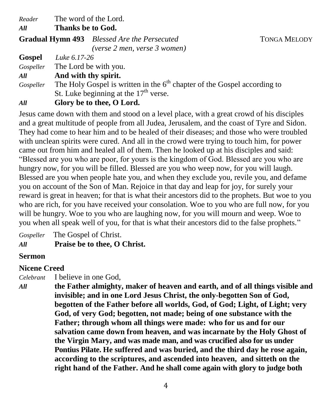*Reader* The word of the Lord.

*All* **Thanks be to God.**

| Gradual Hymn 493 Blessed Are the Persecuted |  |
|---------------------------------------------|--|
| (verse 2 men, verse 3 women)                |  |

**Gospel** *Luke 6.17-26*

*Gospeller* The Lord be with you.

## *All* **And with thy spirit.**

Gospeller The Holy Gospel is written in the 6<sup>th</sup> chapter of the Gospel according to St. Luke beginning at the  $17<sup>th</sup>$  verse.

## *All* **Glory be to thee, O Lord.**

Jesus came down with them and stood on a level place, with a great crowd of his disciples and a great multitude of people from all Judea, Jerusalem, and the coast of Tyre and Sidon. They had come to hear him and to be healed of their diseases; and those who were troubled with unclean spirits were cured. And all in the crowd were trying to touch him, for power came out from him and healed all of them. Then he looked up at his disciples and said: "Blessed are you who are poor, for yours is the kingdom of God. Blessed are you who are hungry now, for you will be filled. Blessed are you who weep now, for you will laugh. Blessed are you when people hate you, and when they exclude you, revile you, and defame you on account of the Son of Man. Rejoice in that day and leap for joy, for surely your reward is great in heaven; for that is what their ancestors did to the prophets. But woe to you who are rich, for you have received your consolation. Woe to you who are full now, for you will be hungry. Woe to you who are laughing now, for you will mourn and weep. Woe to you when all speak well of you, for that is what their ancestors did to the false prophets."

*Gospeller* The Gospel of Christ.

*All* **Praise be to thee, O Christ.**

## **Sermon**

## **Nicene Creed**

*Celebrant* I believe in one God,

*All* **the Father almighty, maker of heaven and earth, and of all things visible and invisible; and in one Lord Jesus Christ, the only-begotten Son of God, begotten of the Father before all worlds, God, of God; Light, of Light; very God, of very God; begotten, not made; being of one substance with the Father; through whom all things were made: who for us and for our salvation came down from heaven, and was incarnate by the Holy Ghost of the Virgin Mary, and was made man, and was crucified also for us under Pontius Pilate. He suffered and was buried, and the third day he rose again, according to the scriptures, and ascended into heaven, and sitteth on the right hand of the Father. And he shall come again with glory to judge both** 

4

 $T$ ONGA MELODY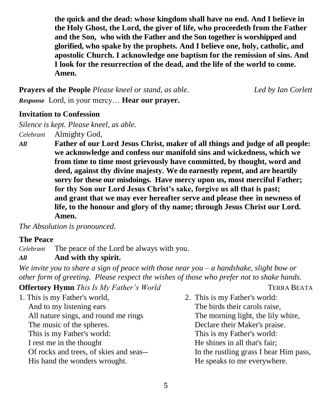**the quick and the dead: whose kingdom shall have no end. And I believe in the Holy Ghost, the Lord, the giver of life, who proceedeth from the Father and the Son, who with the Father and the Son together is worshipped and glorified, who spake by the prophets. And I believe one, holy, catholic, and apostolic Church. I acknowledge one baptism for the remission of sins. And I look for the resurrection of the dead, and the life of the world to come. Amen.**

**Prayers of the People** *Please kneel or stand, as able. Led by Ian Corlett Response* Lord, in your mercy… **Hear our prayer.**

**Invitation to Confession**

*Silence is kept. Please kneel, as able. Celebrant* Almighty God,

*All* **Father of our Lord Jesus Christ, maker of all things and judge of all people: we acknowledge and confess our manifold sins and wickedness, which we from time to time most grievously have committed, by thought, word and deed, against thy divine majesty. We do earnestly repent, and are heartily sorry for these our misdoings. Have mercy upon us, most merciful Father; for thy Son our Lord Jesus Christ's sake, forgive us all that is past; and grant that we may ever hereafter serve and please thee in newness of life, to the honour and glory of thy name; through Jesus Christ our Lord. Amen.**

*The Absolution is pronounced.*

#### **The Peace**

*Celebrant* The peace of the Lord be always with you.

### *All* **And with thy spirit.**

*We invite you to share a sign of peace with those near you – a handshake, slight bow or other form of greeting. Please respect the wishes of those who prefer not to shake hands.*

## **Offertory Hymn** *This Is My Father's World* **TERRA BEATA**

| 1. This is my Father's world,           | 2. This is my Father's world:          |
|-----------------------------------------|----------------------------------------|
| And to my listening ears                | The birds their carols raise,          |
| All nature sings, and round me rings    | The morning light, the lily white,     |
| The music of the spheres.               | Declare their Maker's praise.          |
| This is my Father's world:              | This is my Father's world:             |
| I rest me in the thought                | He shines in all that's fair;          |
| Of rocks and trees, of skies and seas-- | In the rustling grass I hear Him pass, |
| His hand the wonders wrought.           | He speaks to me everywhere.            |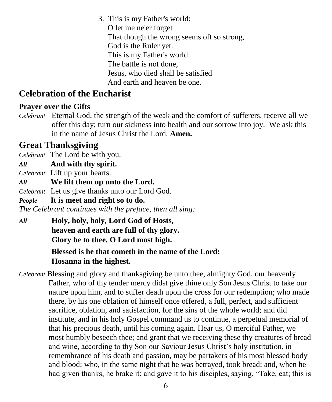3. This is my Father's world: O let me ne'er forget That though the wrong seems oft so strong, God is the Ruler yet. This is my Father's world: The battle is not done, Jesus, who died shall be satisfied And earth and heaven be one.

## **Celebration of the Eucharist**

## **Prayer over the Gifts**

*Celebrant* Eternal God, the strength of the weak and the comfort of sufferers, receive all we offer this day; turn our sickness into health and our sorrow into joy. We ask this in the name of Jesus Christ the Lord. **Amen.**

## **Great Thanksgiving**

*Celebrant* The Lord be with you.

*All* **And with thy spirit.** 

*Celebrant* Lift up your hearts.

*All* **We lift them up unto the Lord.**

*Celebrant* Let us give thanks unto our Lord God.

*People* **It is meet and right so to do.**

*The Celebrant continues with the preface, then all sing:*

*All* **Holy, holy, holy, Lord God of Hosts, heaven and earth are full of thy glory. Glory be to thee, O Lord most high.** 

## **Blessed is he that cometh in the name of the Lord: Hosanna in the highest.**

*Celebrant* Blessing and glory and thanksgiving be unto thee, almighty God, our heavenly Father, who of thy tender mercy didst give thine only Son Jesus Christ to take our nature upon him, and to suffer death upon the cross for our redemption; who made there, by his one oblation of himself once offered, a full, perfect, and sufficient sacrifice, oblation, and satisfaction, for the sins of the whole world; and did institute, and in his holy Gospel command us to continue, a perpetual memorial of that his precious death, until his coming again. Hear us, O merciful Father, we most humbly beseech thee; and grant that we receiving these thy creatures of bread and wine, according to thy Son our Saviour Jesus Christ's holy institution, in remembrance of his death and passion, may be partakers of his most blessed body and blood; who, in the same night that he was betrayed, took bread; and, when he had given thanks, he brake it; and gave it to his disciples, saying, "Take, eat; this is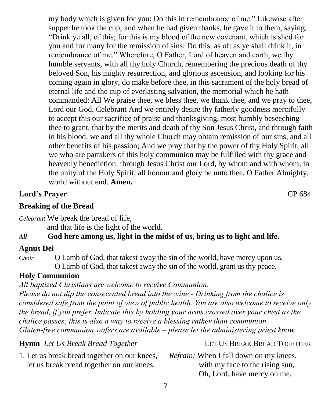my body which is given for you: Do this in remembrance of me." Likewise after supper he took the cup; and when he had given thanks, he gave it to them, saying, "Drink ye all, of this; for this is my blood of the new covenant, which is shed for you and for many for the remission of sins: Do this, as oft as ye shall drink it, in remembrance of me." Wherefore, O Father, Lord of heaven and earth, we thy humble servants, with all thy holy Church, remembering the precious death of thy beloved Son, his mighty resurrection, and glorious ascension, and looking for his coming again in glory, do make before thee, in this sacrament of the holy bread of eternal life and the cup of everlasting salvation, the memorial which he hath commanded: All We praise thee, we bless thee, we thank thee, and we pray to thee, Lord our God. Celebrant And we entirely desire thy fatherly goodness mercifully to accept this our sacrifice of praise and thanksgiving, most humbly beseeching thee to grant, that by the merits and death of thy Son Jesus Christ, and through faith in his blood, we and all thy whole Church may obtain remission of our sins, and all other benefits of his passion; And we pray that by the power of thy Holy Spirit, all we who are partakers of this holy communion may be fulfilled with thy grace and heavenly benediction; through Jesus Christ our Lord, by whom and with whom, in the unity of the Holy Spirit, all honour and glory be unto thee, O Father Almighty, world without end. **Amen.** 

## **Lord's Prayer** CP 684

**Breaking of the Bread**

*Celebrant* We break the bread of life,

and that life is the light of the world.

## *All* **God here among us, light in the midst of us, bring us to light and life.**

## **Agnus Dei**

*Choir* O Lamb of God, that takest away the sin of the world, have mercy upon us. O Lamb of God, that takest away the sin of the world, grant us thy peace.

## **Holy Communion**

*All baptized Christians are welcome to receive Communion. Please do not dip the consecrated bread into the wine - Drinking from the chalice is considered safe from the point of view of public health. You are also welcome to receive only the bread, if you prefer. Indicate this by holding your arms crossed over your chest as the chalice passes; this is also a way to receive a blessing rather than communion. Gluten-free communion wafers are available – please let the administering priest know.*

| <b>Hymn</b> Let Us Break Bread Together      | LET US BREAK BREAD TOGETHER                   |
|----------------------------------------------|-----------------------------------------------|
| 1. Let us break bread together on our knees, | <i>Refrain:</i> When I fall down on my knees, |
| let us break bread together on our knees.    | with my face to the rising sun,               |
|                                              | Oh, Lord, have mercy on me.                   |